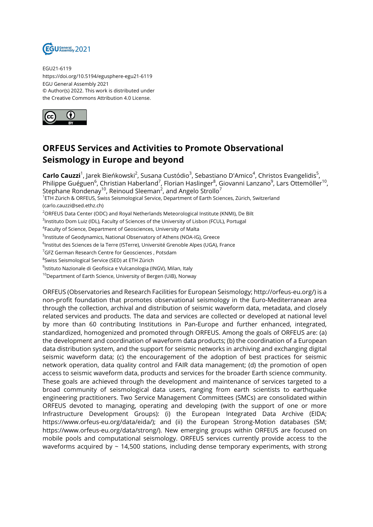

EGU21-6119 https://doi.org/10.5194/egusphere-egu21-6119 EGU General Assembly 2021 © Author(s) 2022. This work is distributed under the Creative Commons Attribution 4.0 License.



## **ORFEUS Services and Activities to Promote Observational Seismology in Europe and beyond**

**Carlo Cauzzi**<sup>1</sup>, Jarek Bieńkowski<sup>2</sup>, Susana Custódio<sup>3</sup>, Sebastiano D'Amico<sup>4</sup>, Christos Evangelidis<sup>5</sup>, Philippe Guéguen $^6$ , Christian Haberland $^7$ , Florian Haslinger $^8$ , Giovanni Lanzano $^9$ , Lars Ottemöller $^{10}$ , Stephane Rondenay $^{10}$ , Reinoud Sleeman $^2$ , and Angelo Strollo $^7$ <sup>1</sup>ETH Zürich & ORFEUS, Swiss Seismological Service, Department of Earth Sciences, Zürich, Switzerland (carlo.cauzzi@sed.ethz.ch) <sup>2</sup>ORFEUS Data Center (ODC) and Royal Netherlands Meteorological Institute (KNMI), De Bilt  $^3$ Instituto Dom Luiz (IDL), Faculty of Sciences of the University of Lisbon (FCUL), Portugal

4 Faculty of Science, Department of Geosciences, University of Malta

<sup>5</sup>Institute of Geodynamics, National Observatory of Athens (NOA-IG), Greece

 $^6$ Institut des Sciences de la Terre (ISTerre), Université Grenoble Alpes (UGA), France

<sup>7</sup>GFZ German Research Centre for Geosciences, Potsdam

 $^8$ Swiss Seismological Service (SED) at ETH Zürich

<sup>9</sup>lstituto Nazionale di Geofisica e Vulcanologia (INGV), Milan, Italy

<sup>10</sup>Department of Earth Science, University of Bergen (UiB), Norway

ORFEUS (Observatories and Research Facilities for European Seismology; http://orfeus-eu.org/) is a non-profit foundation that promotes observational seismology in the Euro-Mediterranean area through the collection, archival and distribution of seismic waveform data, metadata, and closely related services and products. The data and services are collected or developed at national level by more than 60 contributing Institutions in Pan-Europe and further enhanced, integrated, standardized, homogenized and promoted through ORFEUS. Among the goals of ORFEUS are: (a) the development and coordination of waveform data products; (b) the coordination of a European data distribution system, and the support for seismic networks in archiving and exchanging digital seismic waveform data; (c) the encouragement of the adoption of best practices for seismic network operation, data quality control and FAIR data management; (d) the promotion of open access to seismic waveform data, products and services for the broader Earth science community. These goals are achieved through the development and maintenance of services targeted to a broad community of seismological data users, ranging from earth scientists to earthquake engineering practitioners. Two Service Management Committees (SMCs) are consolidated within ORFEUS devoted to managing, operating and developing (with the support of one or more Infrastructure Development Groups): (i) the European Integrated Data Archive (EIDA; https://www.orfeus-eu.org/data/eida/); and (ii) the European Strong-Motion databases (SM; https://www.orfeus-eu.org/data/strong/). New emerging groups within ORFEUS are focused on mobile pools and computational seismology. ORFEUS services currently provide access to the waveforms acquired by  $\sim$  14,500 stations, including dense temporary experiments, with strong